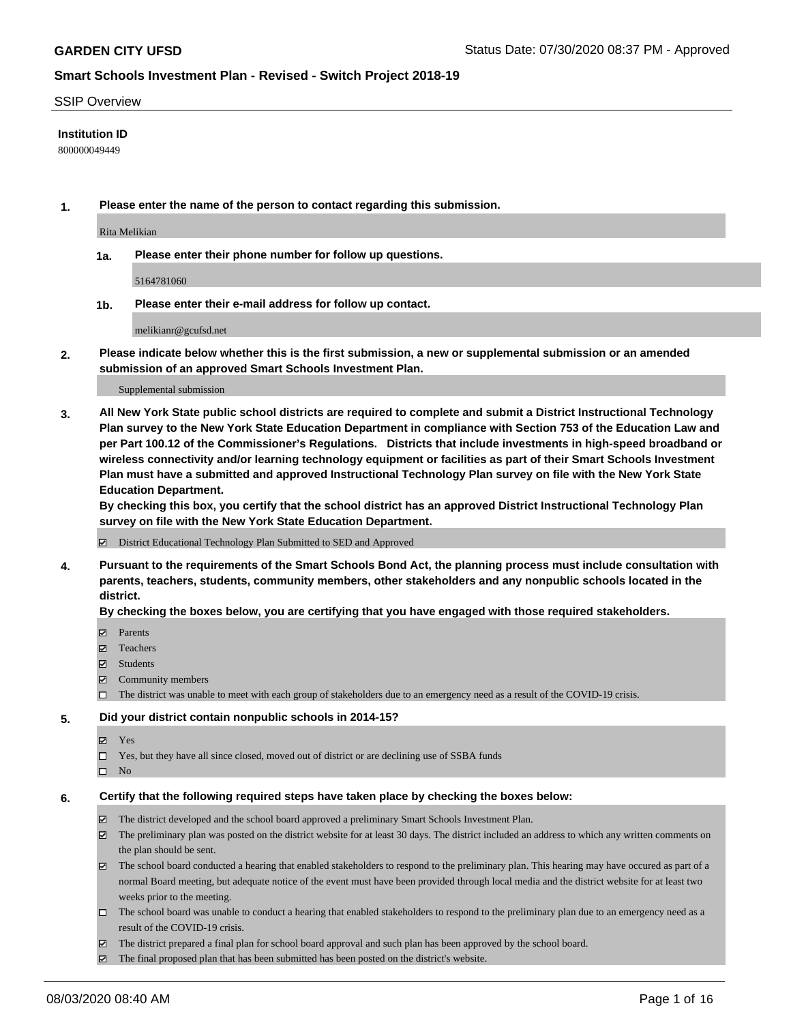### SSIP Overview

### **Institution ID**

800000049449

**1. Please enter the name of the person to contact regarding this submission.**

Rita Melikian

**1a. Please enter their phone number for follow up questions.**

5164781060

**1b. Please enter their e-mail address for follow up contact.**

melikianr@gcufsd.net

**2. Please indicate below whether this is the first submission, a new or supplemental submission or an amended submission of an approved Smart Schools Investment Plan.**

#### Supplemental submission

**3. All New York State public school districts are required to complete and submit a District Instructional Technology Plan survey to the New York State Education Department in compliance with Section 753 of the Education Law and per Part 100.12 of the Commissioner's Regulations. Districts that include investments in high-speed broadband or wireless connectivity and/or learning technology equipment or facilities as part of their Smart Schools Investment Plan must have a submitted and approved Instructional Technology Plan survey on file with the New York State Education Department.** 

**By checking this box, you certify that the school district has an approved District Instructional Technology Plan survey on file with the New York State Education Department.**

District Educational Technology Plan Submitted to SED and Approved

**4. Pursuant to the requirements of the Smart Schools Bond Act, the planning process must include consultation with parents, teachers, students, community members, other stakeholders and any nonpublic schools located in the district.** 

### **By checking the boxes below, you are certifying that you have engaged with those required stakeholders.**

- **□** Parents
- Teachers
- Students
- $\boxtimes$  Community members
- The district was unable to meet with each group of stakeholders due to an emergency need as a result of the COVID-19 crisis.

### **5. Did your district contain nonpublic schools in 2014-15?**

- **冈** Yes
- Yes, but they have all since closed, moved out of district or are declining use of SSBA funds
- $\square$  No

### **6. Certify that the following required steps have taken place by checking the boxes below:**

- The district developed and the school board approved a preliminary Smart Schools Investment Plan.
- $\boxtimes$  The preliminary plan was posted on the district website for at least 30 days. The district included an address to which any written comments on the plan should be sent.
- The school board conducted a hearing that enabled stakeholders to respond to the preliminary plan. This hearing may have occured as part of a normal Board meeting, but adequate notice of the event must have been provided through local media and the district website for at least two weeks prior to the meeting.
- The school board was unable to conduct a hearing that enabled stakeholders to respond to the preliminary plan due to an emergency need as a result of the COVID-19 crisis.
- The district prepared a final plan for school board approval and such plan has been approved by the school board.
- $\boxtimes$  The final proposed plan that has been submitted has been posted on the district's website.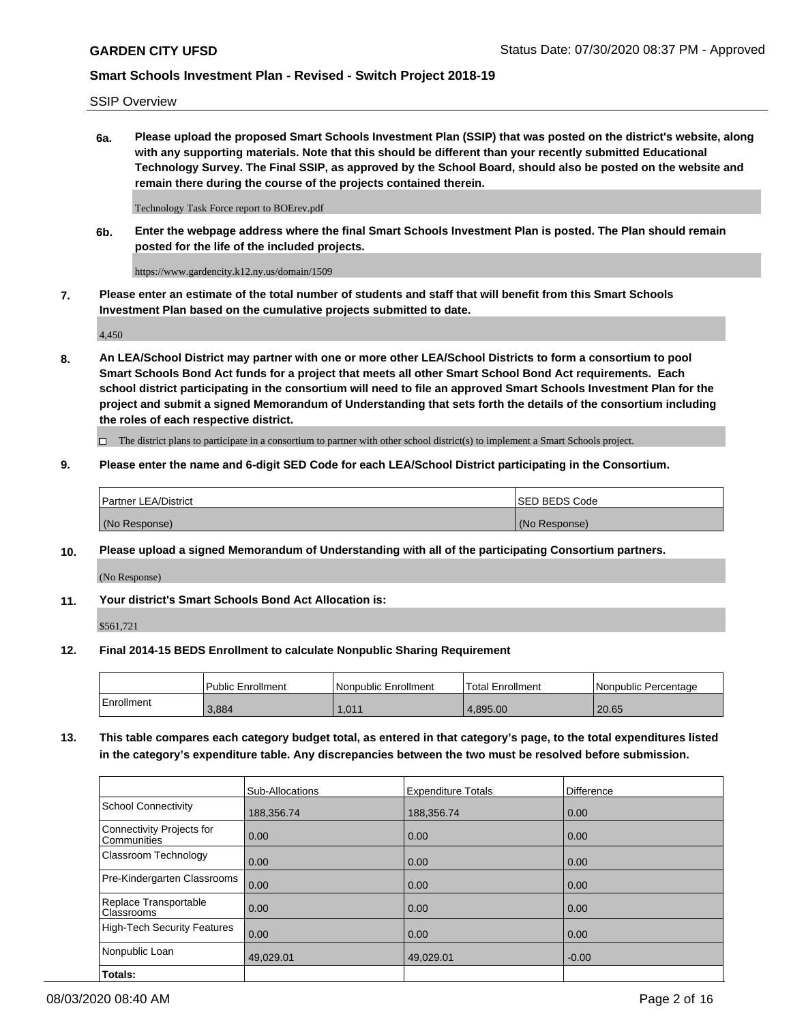SSIP Overview

**6a. Please upload the proposed Smart Schools Investment Plan (SSIP) that was posted on the district's website, along with any supporting materials. Note that this should be different than your recently submitted Educational Technology Survey. The Final SSIP, as approved by the School Board, should also be posted on the website and remain there during the course of the projects contained therein.**

Technology Task Force report to BOErev.pdf

**6b. Enter the webpage address where the final Smart Schools Investment Plan is posted. The Plan should remain posted for the life of the included projects.**

https://www.gardencity.k12.ny.us/domain/1509

**7. Please enter an estimate of the total number of students and staff that will benefit from this Smart Schools Investment Plan based on the cumulative projects submitted to date.**

4,450

**8. An LEA/School District may partner with one or more other LEA/School Districts to form a consortium to pool Smart Schools Bond Act funds for a project that meets all other Smart School Bond Act requirements. Each school district participating in the consortium will need to file an approved Smart Schools Investment Plan for the project and submit a signed Memorandum of Understanding that sets forth the details of the consortium including the roles of each respective district.**

 $\Box$  The district plans to participate in a consortium to partner with other school district(s) to implement a Smart Schools project.

### **9. Please enter the name and 6-digit SED Code for each LEA/School District participating in the Consortium.**

| Partner LEA/District | <b>ISED BEDS Code</b> |
|----------------------|-----------------------|
| (No Response)        | (No Response)         |

### **10. Please upload a signed Memorandum of Understanding with all of the participating Consortium partners.**

(No Response)

### **11. Your district's Smart Schools Bond Act Allocation is:**

\$561,721

### **12. Final 2014-15 BEDS Enrollment to calculate Nonpublic Sharing Requirement**

|            | Public Enrollment | Nonpublic Enrollment | Total Enrollment | l Nonpublic Percentage |
|------------|-------------------|----------------------|------------------|------------------------|
| Enrollment | 3.884             | 1.011                | 4.895.00         | 20.65                  |

**13. This table compares each category budget total, as entered in that category's page, to the total expenditures listed in the category's expenditure table. Any discrepancies between the two must be resolved before submission.**

|                                          | Sub-Allocations | <b>Expenditure Totals</b> | <b>Difference</b> |
|------------------------------------------|-----------------|---------------------------|-------------------|
| <b>School Connectivity</b>               | 188,356.74      | 188,356.74                | 0.00              |
| Connectivity Projects for<br>Communities | 0.00            | 0.00                      | 0.00              |
| Classroom Technology                     | 0.00            | 0.00                      | 0.00              |
| Pre-Kindergarten Classrooms              | 0.00            | 0.00                      | 0.00              |
| Replace Transportable<br>Classrooms      | 0.00            | 0.00                      | 0.00              |
| <b>High-Tech Security Features</b>       | 0.00            | 0.00                      | 0.00              |
| Nonpublic Loan                           | 49,029.01       | 49,029.01                 | $-0.00$           |
| Totals:                                  |                 |                           |                   |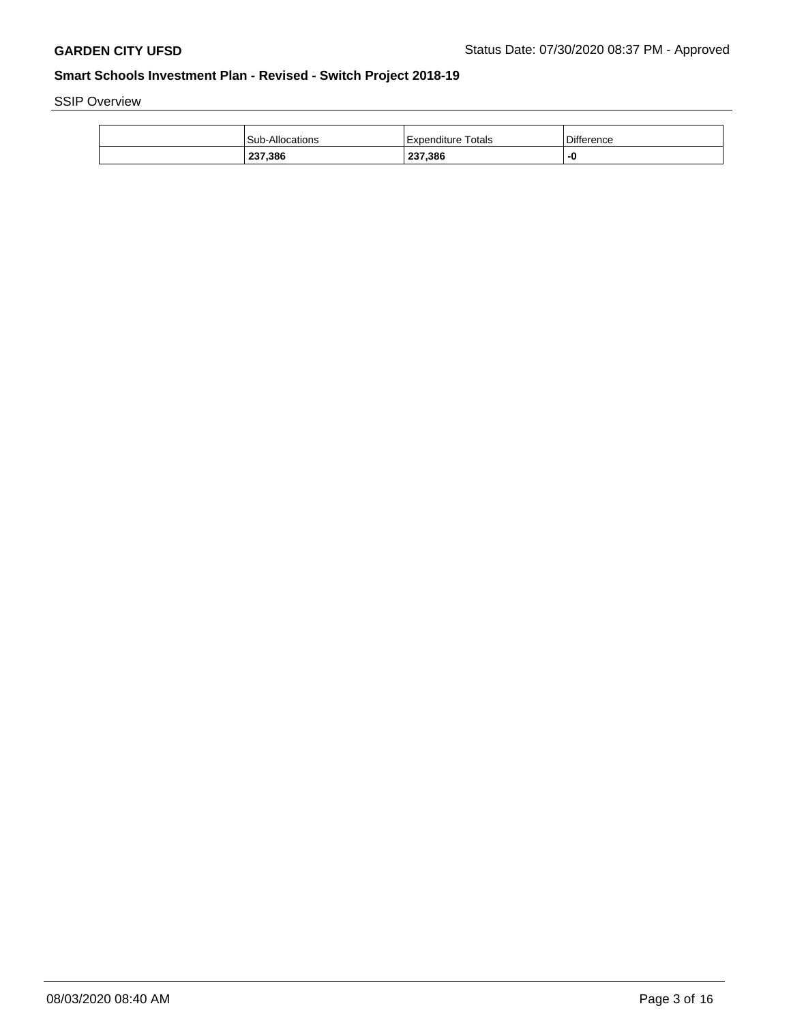SSIP Overview

| 237,386         | 237,386               | -0         |
|-----------------|-----------------------|------------|
| Sub-Allocations | Totals<br>Expenditure | Difference |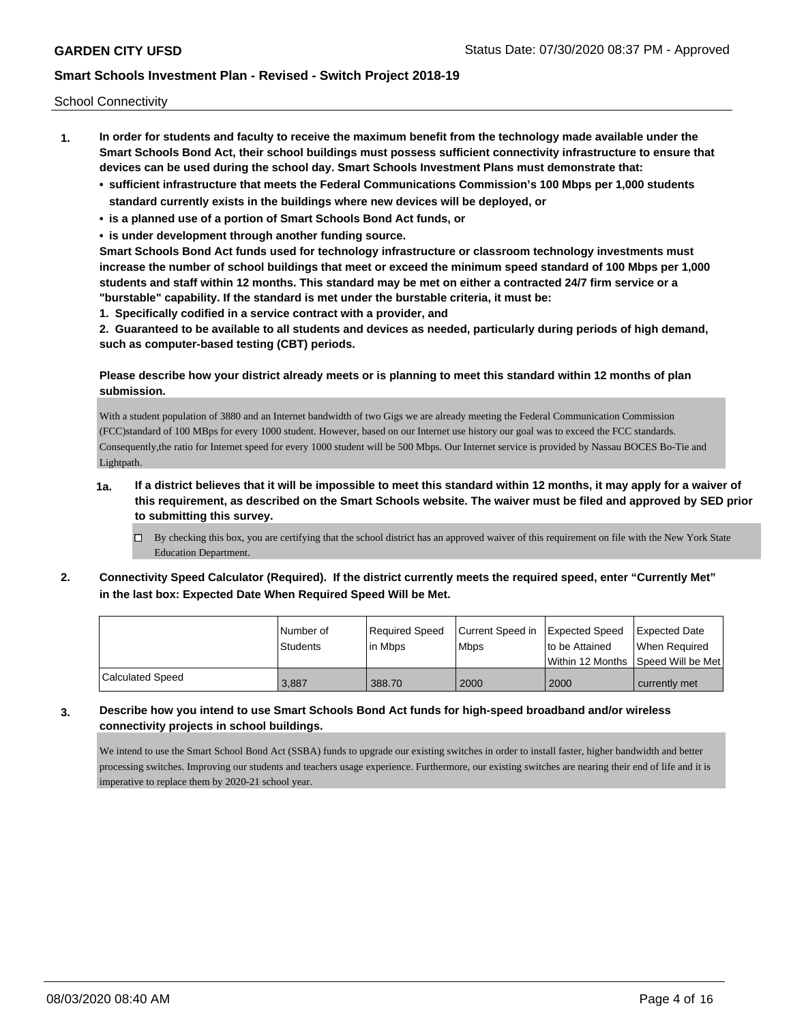School Connectivity

- **1. In order for students and faculty to receive the maximum benefit from the technology made available under the Smart Schools Bond Act, their school buildings must possess sufficient connectivity infrastructure to ensure that devices can be used during the school day. Smart Schools Investment Plans must demonstrate that:**
	- **• sufficient infrastructure that meets the Federal Communications Commission's 100 Mbps per 1,000 students standard currently exists in the buildings where new devices will be deployed, or**
	- **• is a planned use of a portion of Smart Schools Bond Act funds, or**
	- **• is under development through another funding source.**

**Smart Schools Bond Act funds used for technology infrastructure or classroom technology investments must increase the number of school buildings that meet or exceed the minimum speed standard of 100 Mbps per 1,000 students and staff within 12 months. This standard may be met on either a contracted 24/7 firm service or a "burstable" capability. If the standard is met under the burstable criteria, it must be:**

**1. Specifically codified in a service contract with a provider, and**

**2. Guaranteed to be available to all students and devices as needed, particularly during periods of high demand, such as computer-based testing (CBT) periods.**

## **Please describe how your district already meets or is planning to meet this standard within 12 months of plan submission.**

With a student population of 3880 and an Internet bandwidth of two Gigs we are already meeting the Federal Communication Commission (FCC)standard of 100 MBps for every 1000 student. However, based on our Internet use history our goal was to exceed the FCC standards. Consequently,the ratio for Internet speed for every 1000 student will be 500 Mbps. Our Internet service is provided by Nassau BOCES Bo-Tie and Lightpath.

## **1a. If a district believes that it will be impossible to meet this standard within 12 months, it may apply for a waiver of this requirement, as described on the Smart Schools website. The waiver must be filed and approved by SED prior to submitting this survey.**

- $\Box$  By checking this box, you are certifying that the school district has an approved waiver of this requirement on file with the New York State Education Department.
- **2. Connectivity Speed Calculator (Required). If the district currently meets the required speed, enter "Currently Met" in the last box: Expected Date When Required Speed Will be Met.**

|                  | l Number of | Reauired Speed | Current Speed in | Expected Speed | <b>Expected Date</b>                    |
|------------------|-------------|----------------|------------------|----------------|-----------------------------------------|
|                  | Students    | l in Mbps      | l Mbps           | to be Attained | When Required                           |
|                  |             |                |                  |                | l Within 12 Months ISpeed Will be Met l |
| Calculated Speed | 3.887       | 388.70         | 2000             | 2000           | currently met                           |

## **3. Describe how you intend to use Smart Schools Bond Act funds for high-speed broadband and/or wireless connectivity projects in school buildings.**

We intend to use the Smart School Bond Act (SSBA) funds to upgrade our existing switches in order to install faster, higher bandwidth and better processing switches. Improving our students and teachers usage experience. Furthermore, our existing switches are nearing their end of life and it is imperative to replace them by 2020-21 school year.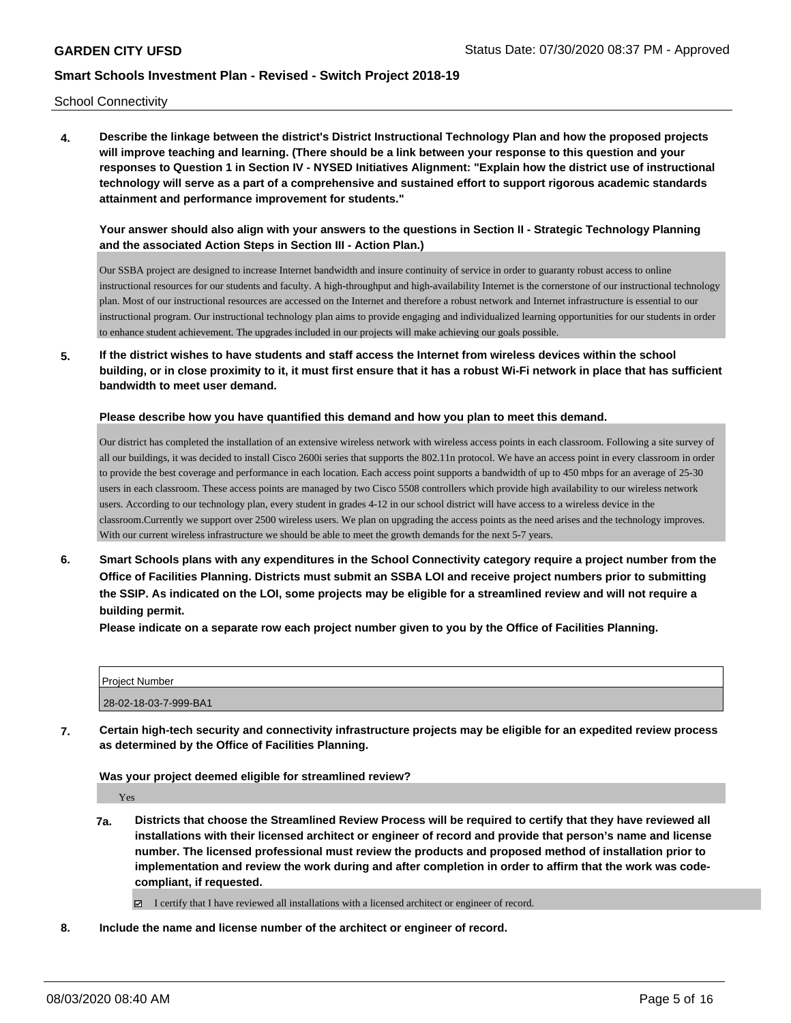School Connectivity

**4. Describe the linkage between the district's District Instructional Technology Plan and how the proposed projects will improve teaching and learning. (There should be a link between your response to this question and your responses to Question 1 in Section IV - NYSED Initiatives Alignment: "Explain how the district use of instructional technology will serve as a part of a comprehensive and sustained effort to support rigorous academic standards attainment and performance improvement for students."** 

**Your answer should also align with your answers to the questions in Section II - Strategic Technology Planning and the associated Action Steps in Section III - Action Plan.)**

Our SSBA project are designed to increase Internet bandwidth and insure continuity of service in order to guaranty robust access to online instructional resources for our students and faculty. A high-throughput and high-availability Internet is the cornerstone of our instructional technology plan. Most of our instructional resources are accessed on the Internet and therefore a robust network and Internet infrastructure is essential to our instructional program. Our instructional technology plan aims to provide engaging and individualized learning opportunities for our students in order to enhance student achievement. The upgrades included in our projects will make achieving our goals possible.

**5. If the district wishes to have students and staff access the Internet from wireless devices within the school building, or in close proximity to it, it must first ensure that it has a robust Wi-Fi network in place that has sufficient bandwidth to meet user demand.**

**Please describe how you have quantified this demand and how you plan to meet this demand.**

Our district has completed the installation of an extensive wireless network with wireless access points in each classroom. Following a site survey of all our buildings, it was decided to install Cisco 2600i series that supports the 802.11n protocol. We have an access point in every classroom in order to provide the best coverage and performance in each location. Each access point supports a bandwidth of up to 450 mbps for an average of 25-30 users in each classroom. These access points are managed by two Cisco 5508 controllers which provide high availability to our wireless network users. According to our technology plan, every student in grades 4-12 in our school district will have access to a wireless device in the classroom.Currently we support over 2500 wireless users. We plan on upgrading the access points as the need arises and the technology improves. With our current wireless infrastructure we should be able to meet the growth demands for the next 5-7 years.

**6. Smart Schools plans with any expenditures in the School Connectivity category require a project number from the Office of Facilities Planning. Districts must submit an SSBA LOI and receive project numbers prior to submitting the SSIP. As indicated on the LOI, some projects may be eligible for a streamlined review and will not require a building permit.**

**Please indicate on a separate row each project number given to you by the Office of Facilities Planning.**

| Project Number        |  |
|-----------------------|--|
| 28-02-18-03-7-999-BA1 |  |

**7. Certain high-tech security and connectivity infrastructure projects may be eligible for an expedited review process as determined by the Office of Facilities Planning.**

**Was your project deemed eligible for streamlined review?**

Yes

**7a. Districts that choose the Streamlined Review Process will be required to certify that they have reviewed all installations with their licensed architect or engineer of record and provide that person's name and license number. The licensed professional must review the products and proposed method of installation prior to implementation and review the work during and after completion in order to affirm that the work was codecompliant, if requested.**

I certify that I have reviewed all installations with a licensed architect or engineer of record.

**8. Include the name and license number of the architect or engineer of record.**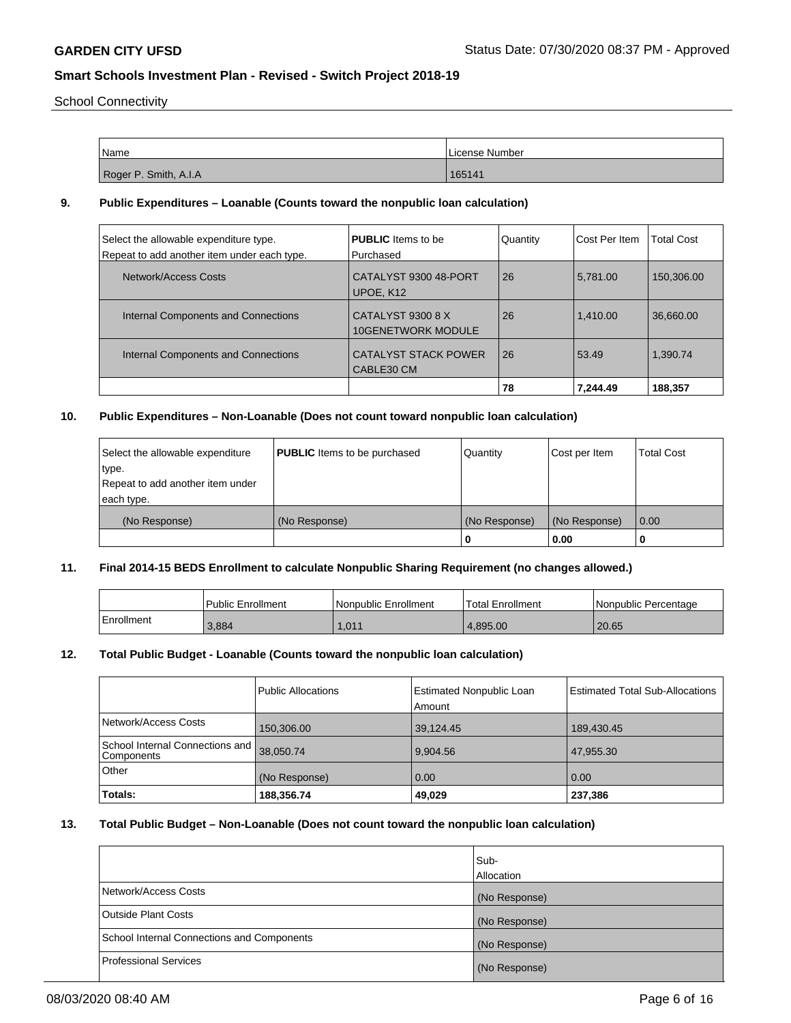School Connectivity

| Name                  | I License Number |
|-----------------------|------------------|
|                       |                  |
| Roger P. Smith, A.I.A | 165141           |

### **9. Public Expenditures – Loanable (Counts toward the nonpublic loan calculation)**

| Select the allowable expenditure type.<br>Repeat to add another item under each type. | <b>PUBLIC</b> Items to be<br>Purchased         | Quantity | Cost Per Item | <b>Total Cost</b> |
|---------------------------------------------------------------------------------------|------------------------------------------------|----------|---------------|-------------------|
| Network/Access Costs                                                                  | CATALYST 9300 48-PORT<br>UPOE, K12             | 26       | 5.781.00      | 150.306.00        |
| Internal Components and Connections                                                   | CATALYST 9300 8 X<br><b>10GENETWORK MODULE</b> | 26       | 1.410.00      | 36,660.00         |
| Internal Components and Connections                                                   | <b>CATALYST STACK POWER</b><br>CABLE30 CM      | 26       | 53.49         | 1.390.74          |
|                                                                                       |                                                | 78       | 7.244.49      | 188.357           |

### **10. Public Expenditures – Non-Loanable (Does not count toward nonpublic loan calculation)**

| Select the allowable expenditure | <b>PUBLIC</b> Items to be purchased | Quantity      | Cost per Item | <b>Total Cost</b> |
|----------------------------------|-------------------------------------|---------------|---------------|-------------------|
| ∣type.                           |                                     |               |               |                   |
| Repeat to add another item under |                                     |               |               |                   |
| each type.                       |                                     |               |               |                   |
| (No Response)                    | (No Response)                       | (No Response) | (No Response) | 0.00              |
|                                  |                                     | 0             | 0.00          |                   |

## **11. Final 2014-15 BEDS Enrollment to calculate Nonpublic Sharing Requirement (no changes allowed.)**

|            | <sup>1</sup> Public Enrollment | Nonpublic Enrollment | 'Total Enrollment |                        |
|------------|--------------------------------|----------------------|-------------------|------------------------|
|            |                                |                      |                   | l Nonpublic Percentage |
| Enrollment | 3,884                          | 1,011                | 4.895.00          | 20.65                  |

### **12. Total Public Budget - Loanable (Counts toward the nonpublic loan calculation)**

| Totals:                                                 | 188,356.74         | 49,029                             | 237,386                                |
|---------------------------------------------------------|--------------------|------------------------------------|----------------------------------------|
| Other                                                   | (No Response)      | 0.00                               | 0.00                                   |
| School Internal Connections and 38,050.74<br>Components |                    | 9.904.56                           | 47.955.30                              |
| Network/Access Costs                                    | 150,306.00         | 39,124.45                          | 189,430.45                             |
|                                                         | Public Allocations | Estimated Nonpublic Loan<br>Amount | <b>Estimated Total Sub-Allocations</b> |

## **13. Total Public Budget – Non-Loanable (Does not count toward the nonpublic loan calculation)**

|                                            | Sub-<br>Allocation |
|--------------------------------------------|--------------------|
| Network/Access Costs                       | (No Response)      |
| <b>Outside Plant Costs</b>                 | (No Response)      |
| School Internal Connections and Components | (No Response)      |
| Professional Services                      | (No Response)      |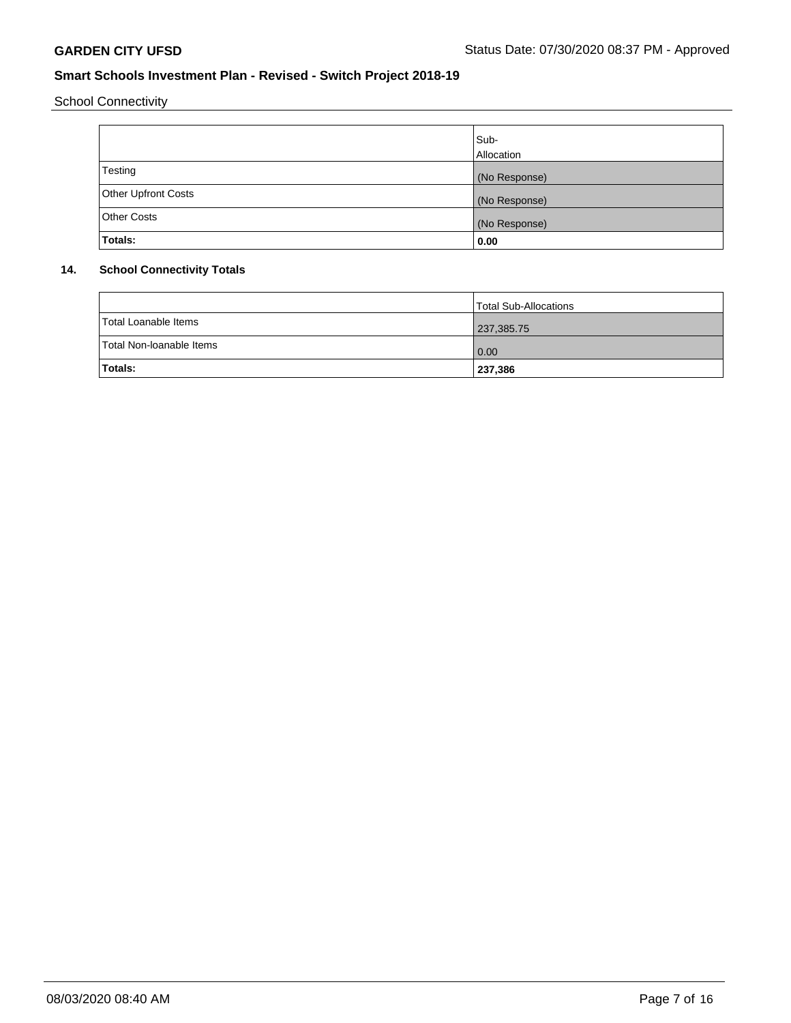School Connectivity

|                     | Sub-<br>Allocation |
|---------------------|--------------------|
| Testing             | (No Response)      |
| Other Upfront Costs | (No Response)      |
| <b>Other Costs</b>  | (No Response)      |
| Totals:             | 0.00               |

## **14. School Connectivity Totals**

|                          | Total Sub-Allocations |
|--------------------------|-----------------------|
| Total Loanable Items     | 237,385.75            |
| Total Non-Ioanable Items | 0.00                  |
| <b>Totals:</b>           | 237,386               |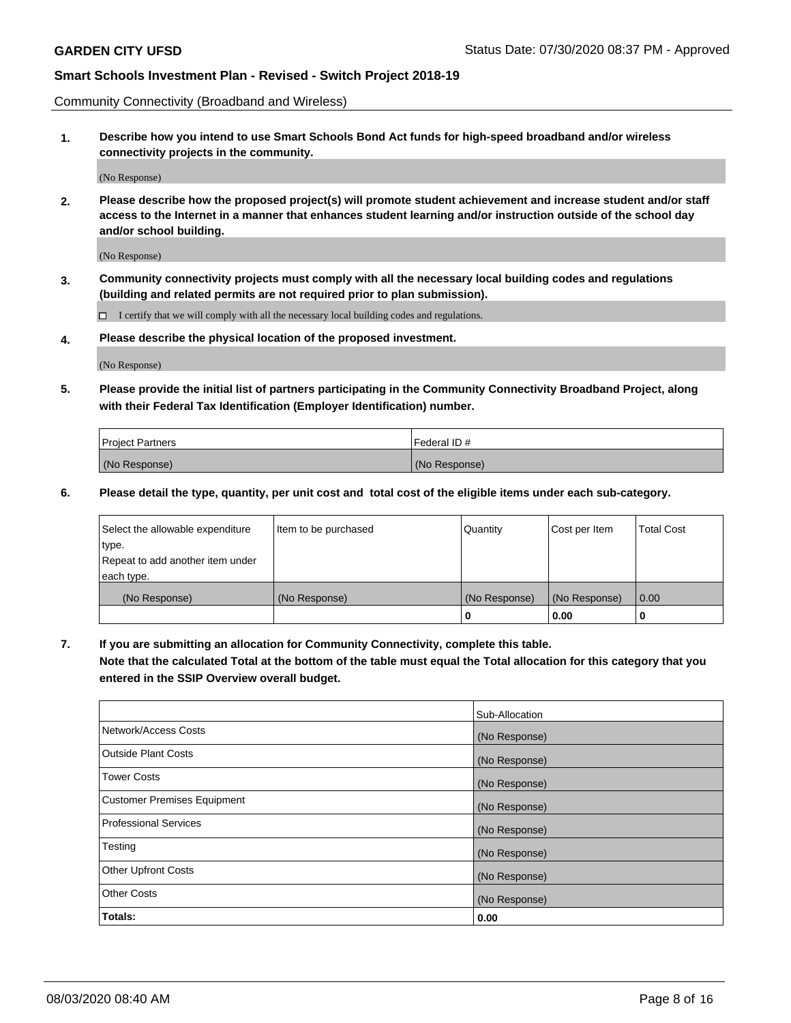Community Connectivity (Broadband and Wireless)

**1. Describe how you intend to use Smart Schools Bond Act funds for high-speed broadband and/or wireless connectivity projects in the community.**

(No Response)

**2. Please describe how the proposed project(s) will promote student achievement and increase student and/or staff access to the Internet in a manner that enhances student learning and/or instruction outside of the school day and/or school building.**

(No Response)

**3. Community connectivity projects must comply with all the necessary local building codes and regulations (building and related permits are not required prior to plan submission).**

 $\Box$  I certify that we will comply with all the necessary local building codes and regulations.

**4. Please describe the physical location of the proposed investment.**

(No Response)

**5. Please provide the initial list of partners participating in the Community Connectivity Broadband Project, along with their Federal Tax Identification (Employer Identification) number.**

| <b>Project Partners</b> | l Federal ID # |
|-------------------------|----------------|
| (No Response)           | (No Response)  |

**6. Please detail the type, quantity, per unit cost and total cost of the eligible items under each sub-category.**

| Select the allowable expenditure | Item to be purchased | Quantity      | Cost per Item | <b>Total Cost</b> |
|----------------------------------|----------------------|---------------|---------------|-------------------|
| type.                            |                      |               |               |                   |
| Repeat to add another item under |                      |               |               |                   |
| each type.                       |                      |               |               |                   |
| (No Response)                    | (No Response)        | (No Response) | (No Response) | 0.00              |
|                                  |                      | U             | 0.00          |                   |

**7. If you are submitting an allocation for Community Connectivity, complete this table.**

**Note that the calculated Total at the bottom of the table must equal the Total allocation for this category that you entered in the SSIP Overview overall budget.**

|                                    | Sub-Allocation |
|------------------------------------|----------------|
| Network/Access Costs               | (No Response)  |
| Outside Plant Costs                | (No Response)  |
| <b>Tower Costs</b>                 | (No Response)  |
| <b>Customer Premises Equipment</b> | (No Response)  |
| <b>Professional Services</b>       | (No Response)  |
| Testing                            | (No Response)  |
| <b>Other Upfront Costs</b>         | (No Response)  |
| <b>Other Costs</b>                 | (No Response)  |
| Totals:                            | 0.00           |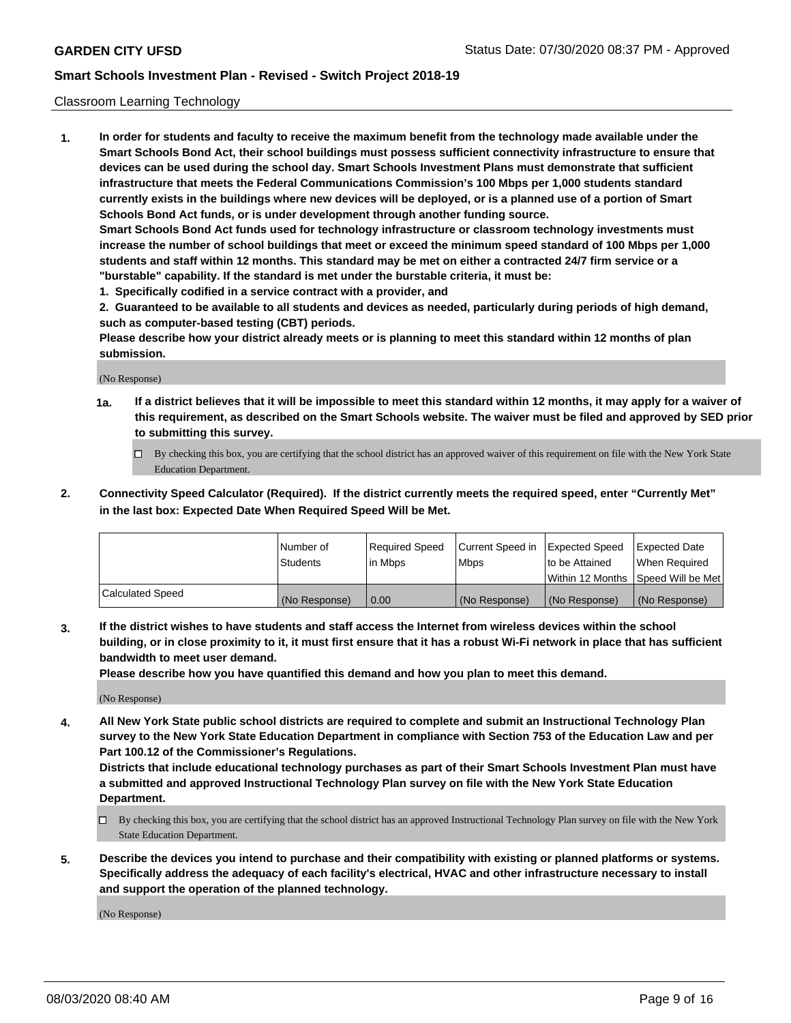### Classroom Learning Technology

**1. In order for students and faculty to receive the maximum benefit from the technology made available under the Smart Schools Bond Act, their school buildings must possess sufficient connectivity infrastructure to ensure that devices can be used during the school day. Smart Schools Investment Plans must demonstrate that sufficient infrastructure that meets the Federal Communications Commission's 100 Mbps per 1,000 students standard currently exists in the buildings where new devices will be deployed, or is a planned use of a portion of Smart Schools Bond Act funds, or is under development through another funding source. Smart Schools Bond Act funds used for technology infrastructure or classroom technology investments must increase the number of school buildings that meet or exceed the minimum speed standard of 100 Mbps per 1,000 students and staff within 12 months. This standard may be met on either a contracted 24/7 firm service or a**

- **"burstable" capability. If the standard is met under the burstable criteria, it must be:**
- **1. Specifically codified in a service contract with a provider, and**

**2. Guaranteed to be available to all students and devices as needed, particularly during periods of high demand, such as computer-based testing (CBT) periods.**

**Please describe how your district already meets or is planning to meet this standard within 12 months of plan submission.**

(No Response)

- **1a. If a district believes that it will be impossible to meet this standard within 12 months, it may apply for a waiver of this requirement, as described on the Smart Schools website. The waiver must be filed and approved by SED prior to submitting this survey.**
	- By checking this box, you are certifying that the school district has an approved waiver of this requirement on file with the New York State Education Department.
- **2. Connectivity Speed Calculator (Required). If the district currently meets the required speed, enter "Currently Met" in the last box: Expected Date When Required Speed Will be Met.**

|                  | l Number of     | Required Speed | Current Speed in | <b>Expected Speed</b> | <b>Expected Date</b>                |
|------------------|-----------------|----------------|------------------|-----------------------|-------------------------------------|
|                  | <b>Students</b> | l in Mbps      | l Mbps           | to be Attained        | When Required                       |
|                  |                 |                |                  |                       | Within 12 Months  Speed Will be Met |
| Calculated Speed | (No Response)   | 0.00           | (No Response)    | l (No Response)       | (No Response)                       |

**3. If the district wishes to have students and staff access the Internet from wireless devices within the school building, or in close proximity to it, it must first ensure that it has a robust Wi-Fi network in place that has sufficient bandwidth to meet user demand.**

**Please describe how you have quantified this demand and how you plan to meet this demand.**

(No Response)

**4. All New York State public school districts are required to complete and submit an Instructional Technology Plan survey to the New York State Education Department in compliance with Section 753 of the Education Law and per Part 100.12 of the Commissioner's Regulations.**

**Districts that include educational technology purchases as part of their Smart Schools Investment Plan must have a submitted and approved Instructional Technology Plan survey on file with the New York State Education Department.**

- By checking this box, you are certifying that the school district has an approved Instructional Technology Plan survey on file with the New York State Education Department.
- **5. Describe the devices you intend to purchase and their compatibility with existing or planned platforms or systems. Specifically address the adequacy of each facility's electrical, HVAC and other infrastructure necessary to install and support the operation of the planned technology.**

(No Response)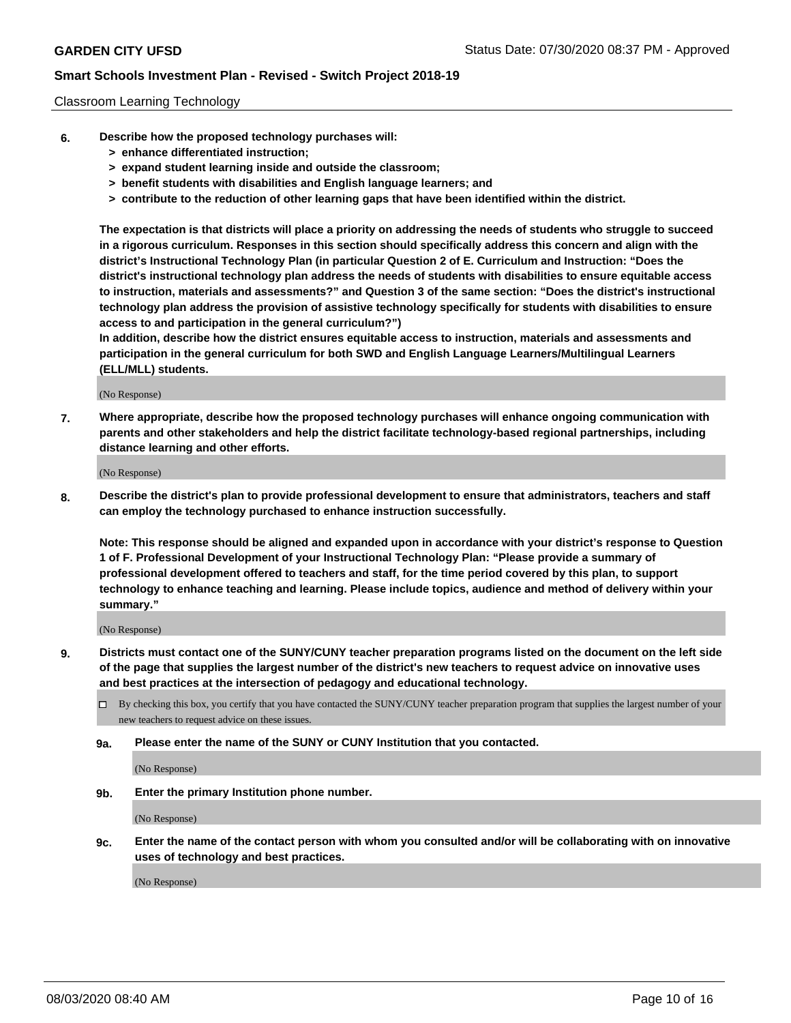### Classroom Learning Technology

- **6. Describe how the proposed technology purchases will:**
	- **> enhance differentiated instruction;**
	- **> expand student learning inside and outside the classroom;**
	- **> benefit students with disabilities and English language learners; and**
	- **> contribute to the reduction of other learning gaps that have been identified within the district.**

**The expectation is that districts will place a priority on addressing the needs of students who struggle to succeed in a rigorous curriculum. Responses in this section should specifically address this concern and align with the district's Instructional Technology Plan (in particular Question 2 of E. Curriculum and Instruction: "Does the district's instructional technology plan address the needs of students with disabilities to ensure equitable access to instruction, materials and assessments?" and Question 3 of the same section: "Does the district's instructional technology plan address the provision of assistive technology specifically for students with disabilities to ensure access to and participation in the general curriculum?")**

**In addition, describe how the district ensures equitable access to instruction, materials and assessments and participation in the general curriculum for both SWD and English Language Learners/Multilingual Learners (ELL/MLL) students.**

(No Response)

**7. Where appropriate, describe how the proposed technology purchases will enhance ongoing communication with parents and other stakeholders and help the district facilitate technology-based regional partnerships, including distance learning and other efforts.**

(No Response)

**8. Describe the district's plan to provide professional development to ensure that administrators, teachers and staff can employ the technology purchased to enhance instruction successfully.**

**Note: This response should be aligned and expanded upon in accordance with your district's response to Question 1 of F. Professional Development of your Instructional Technology Plan: "Please provide a summary of professional development offered to teachers and staff, for the time period covered by this plan, to support technology to enhance teaching and learning. Please include topics, audience and method of delivery within your summary."**

(No Response)

- **9. Districts must contact one of the SUNY/CUNY teacher preparation programs listed on the document on the left side of the page that supplies the largest number of the district's new teachers to request advice on innovative uses and best practices at the intersection of pedagogy and educational technology.**
	- By checking this box, you certify that you have contacted the SUNY/CUNY teacher preparation program that supplies the largest number of your new teachers to request advice on these issues.
	- **9a. Please enter the name of the SUNY or CUNY Institution that you contacted.**

(No Response)

**9b. Enter the primary Institution phone number.**

(No Response)

**9c. Enter the name of the contact person with whom you consulted and/or will be collaborating with on innovative uses of technology and best practices.**

(No Response)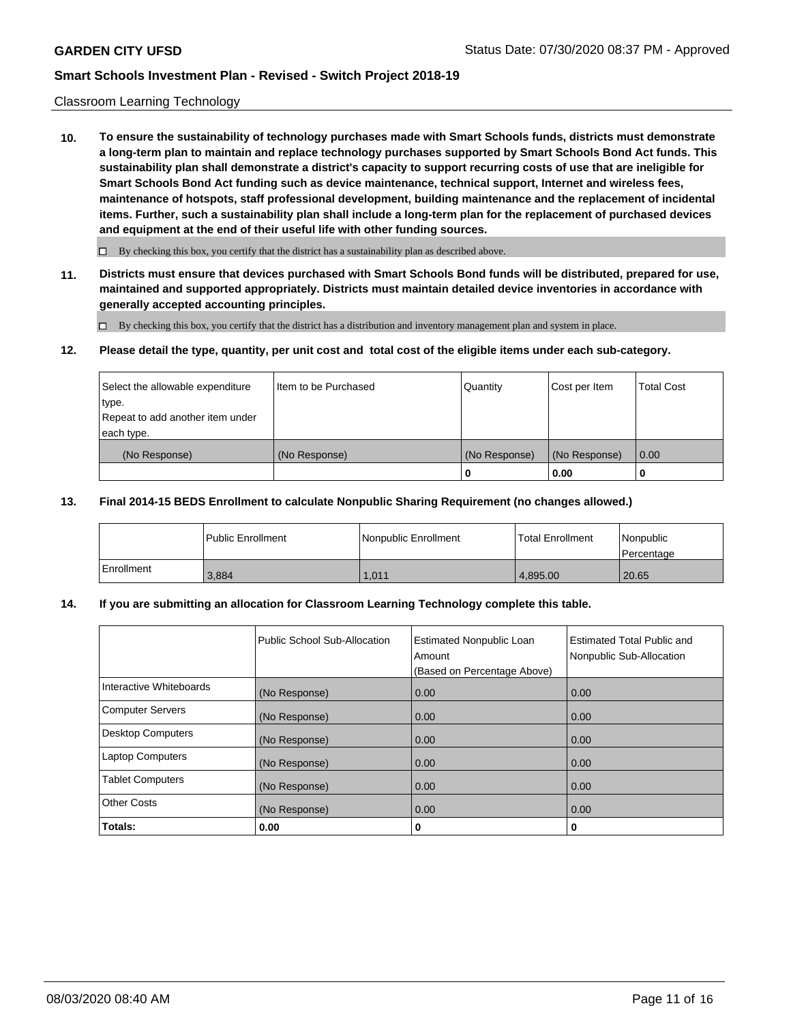### Classroom Learning Technology

**10. To ensure the sustainability of technology purchases made with Smart Schools funds, districts must demonstrate a long-term plan to maintain and replace technology purchases supported by Smart Schools Bond Act funds. This sustainability plan shall demonstrate a district's capacity to support recurring costs of use that are ineligible for Smart Schools Bond Act funding such as device maintenance, technical support, Internet and wireless fees, maintenance of hotspots, staff professional development, building maintenance and the replacement of incidental items. Further, such a sustainability plan shall include a long-term plan for the replacement of purchased devices and equipment at the end of their useful life with other funding sources.**

 $\Box$  By checking this box, you certify that the district has a sustainability plan as described above.

**11. Districts must ensure that devices purchased with Smart Schools Bond funds will be distributed, prepared for use, maintained and supported appropriately. Districts must maintain detailed device inventories in accordance with generally accepted accounting principles.**

By checking this box, you certify that the district has a distribution and inventory management plan and system in place.

### **12. Please detail the type, quantity, per unit cost and total cost of the eligible items under each sub-category.**

| Select the allowable expenditure          | Item to be Purchased | Quantity      | Cost per Item | Total Cost |
|-------------------------------------------|----------------------|---------------|---------------|------------|
| type.<br>Repeat to add another item under |                      |               |               |            |
| each type.                                |                      |               |               |            |
| (No Response)                             | (No Response)        | (No Response) | (No Response) | 0.00       |
|                                           |                      |               | 0.00          |            |

### **13. Final 2014-15 BEDS Enrollment to calculate Nonpublic Sharing Requirement (no changes allowed.)**

|              | l Public Enrollment | Nonpublic Enrollment | <b>Total Enrollment</b> | Nonpublic<br>l Percentage |
|--------------|---------------------|----------------------|-------------------------|---------------------------|
| l Enrollment | 3.884               | .011                 | 4.895.00                | 20.65                     |

### **14. If you are submitting an allocation for Classroom Learning Technology complete this table.**

|                         | Public School Sub-Allocation | <b>Estimated Nonpublic Loan</b><br>Amount<br>(Based on Percentage Above) | Estimated Total Public and<br>Nonpublic Sub-Allocation |
|-------------------------|------------------------------|--------------------------------------------------------------------------|--------------------------------------------------------|
| Interactive Whiteboards | (No Response)                | 0.00                                                                     | 0.00                                                   |
| Computer Servers        | (No Response)                | 0.00                                                                     | 0.00                                                   |
| Desktop Computers       | (No Response)                | 0.00                                                                     | 0.00                                                   |
| <b>Laptop Computers</b> | (No Response)                | 0.00                                                                     | 0.00                                                   |
| <b>Tablet Computers</b> | (No Response)                | 0.00                                                                     | 0.00                                                   |
| <b>Other Costs</b>      | (No Response)                | 0.00                                                                     | 0.00                                                   |
| Totals:                 | 0.00                         | 0                                                                        | 0                                                      |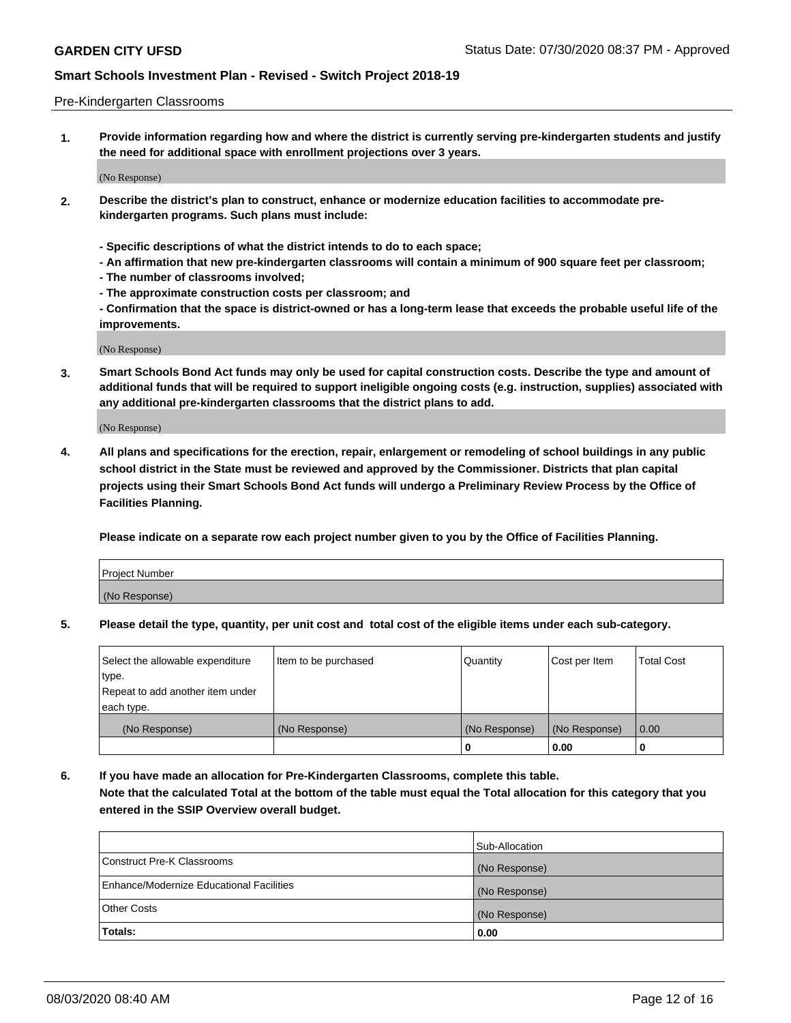### Pre-Kindergarten Classrooms

**1. Provide information regarding how and where the district is currently serving pre-kindergarten students and justify the need for additional space with enrollment projections over 3 years.**

(No Response)

- **2. Describe the district's plan to construct, enhance or modernize education facilities to accommodate prekindergarten programs. Such plans must include:**
	- **Specific descriptions of what the district intends to do to each space;**
	- **An affirmation that new pre-kindergarten classrooms will contain a minimum of 900 square feet per classroom;**
	- **The number of classrooms involved;**
	- **The approximate construction costs per classroom; and**
	- **Confirmation that the space is district-owned or has a long-term lease that exceeds the probable useful life of the improvements.**

(No Response)

**3. Smart Schools Bond Act funds may only be used for capital construction costs. Describe the type and amount of additional funds that will be required to support ineligible ongoing costs (e.g. instruction, supplies) associated with any additional pre-kindergarten classrooms that the district plans to add.**

(No Response)

**4. All plans and specifications for the erection, repair, enlargement or remodeling of school buildings in any public school district in the State must be reviewed and approved by the Commissioner. Districts that plan capital projects using their Smart Schools Bond Act funds will undergo a Preliminary Review Process by the Office of Facilities Planning.**

**Please indicate on a separate row each project number given to you by the Office of Facilities Planning.**

| Project Number |  |
|----------------|--|
| (No Response)  |  |
|                |  |

**5. Please detail the type, quantity, per unit cost and total cost of the eligible items under each sub-category.**

| Select the allowable expenditure | Item to be purchased | Quantity      | Cost per Item | <b>Total Cost</b> |
|----------------------------------|----------------------|---------------|---------------|-------------------|
| 'type.                           |                      |               |               |                   |
| Repeat to add another item under |                      |               |               |                   |
| each type.                       |                      |               |               |                   |
| (No Response)                    | (No Response)        | (No Response) | (No Response) | 0.00              |
|                                  |                      | U             | 0.00          |                   |

**6. If you have made an allocation for Pre-Kindergarten Classrooms, complete this table. Note that the calculated Total at the bottom of the table must equal the Total allocation for this category that you entered in the SSIP Overview overall budget.**

| Totals:                                  | 0.00           |
|------------------------------------------|----------------|
| <b>Other Costs</b>                       | (No Response)  |
| Enhance/Modernize Educational Facilities | (No Response)  |
| Construct Pre-K Classrooms               | (No Response)  |
|                                          | Sub-Allocation |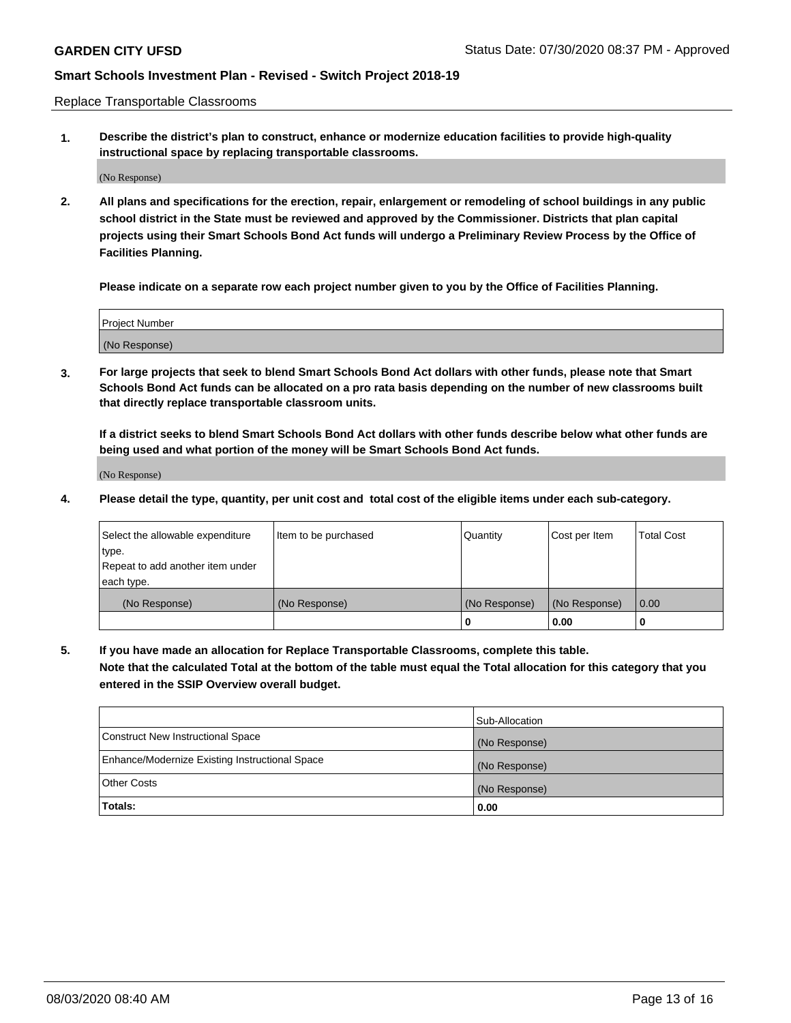Replace Transportable Classrooms

**1. Describe the district's plan to construct, enhance or modernize education facilities to provide high-quality instructional space by replacing transportable classrooms.**

(No Response)

**2. All plans and specifications for the erection, repair, enlargement or remodeling of school buildings in any public school district in the State must be reviewed and approved by the Commissioner. Districts that plan capital projects using their Smart Schools Bond Act funds will undergo a Preliminary Review Process by the Office of Facilities Planning.**

**Please indicate on a separate row each project number given to you by the Office of Facilities Planning.**

| Project Number |  |
|----------------|--|
|                |  |
|                |  |
|                |  |
|                |  |
| (No Response)  |  |
|                |  |
|                |  |
|                |  |

**3. For large projects that seek to blend Smart Schools Bond Act dollars with other funds, please note that Smart Schools Bond Act funds can be allocated on a pro rata basis depending on the number of new classrooms built that directly replace transportable classroom units.**

**If a district seeks to blend Smart Schools Bond Act dollars with other funds describe below what other funds are being used and what portion of the money will be Smart Schools Bond Act funds.**

(No Response)

**4. Please detail the type, quantity, per unit cost and total cost of the eligible items under each sub-category.**

| Select the allowable expenditure | Item to be purchased | Quantity      | Cost per Item | Total Cost |
|----------------------------------|----------------------|---------------|---------------|------------|
| ∣type.                           |                      |               |               |            |
| Repeat to add another item under |                      |               |               |            |
| each type.                       |                      |               |               |            |
| (No Response)                    | (No Response)        | (No Response) | (No Response) | 0.00       |
|                                  |                      | u             | 0.00          |            |

**5. If you have made an allocation for Replace Transportable Classrooms, complete this table. Note that the calculated Total at the bottom of the table must equal the Total allocation for this category that you entered in the SSIP Overview overall budget.**

|                                                | Sub-Allocation |
|------------------------------------------------|----------------|
| Construct New Instructional Space              | (No Response)  |
| Enhance/Modernize Existing Instructional Space | (No Response)  |
| Other Costs                                    | (No Response)  |
| Totals:                                        | 0.00           |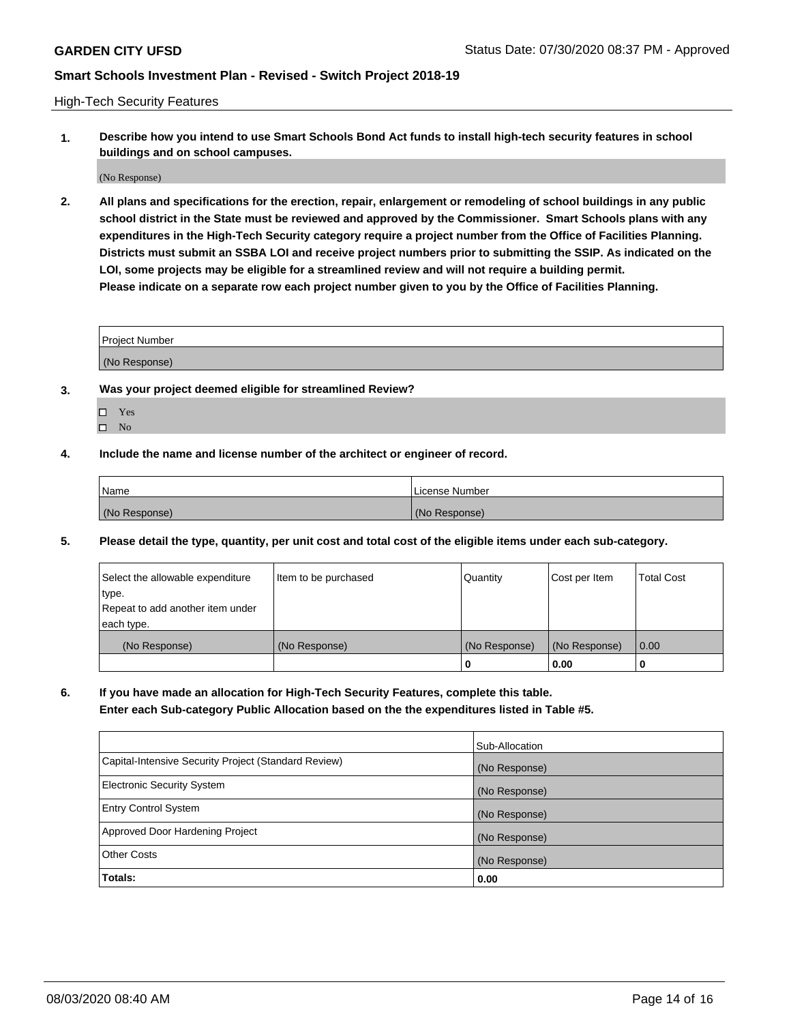High-Tech Security Features

**1. Describe how you intend to use Smart Schools Bond Act funds to install high-tech security features in school buildings and on school campuses.**

(No Response)

**2. All plans and specifications for the erection, repair, enlargement or remodeling of school buildings in any public school district in the State must be reviewed and approved by the Commissioner. Smart Schools plans with any expenditures in the High-Tech Security category require a project number from the Office of Facilities Planning. Districts must submit an SSBA LOI and receive project numbers prior to submitting the SSIP. As indicated on the LOI, some projects may be eligible for a streamlined review and will not require a building permit. Please indicate on a separate row each project number given to you by the Office of Facilities Planning.**

| <b>Project Number</b> |  |
|-----------------------|--|
| (No Response)         |  |

- **3. Was your project deemed eligible for streamlined Review?**
	- Yes
	- $\hfill \square$  No
- **4. Include the name and license number of the architect or engineer of record.**

| Name          | License Number |
|---------------|----------------|
| (No Response) | (No Response)  |

**5. Please detail the type, quantity, per unit cost and total cost of the eligible items under each sub-category.**

| Select the allowable expenditure | Item to be purchased | Quantity      | Cost per Item | <b>Total Cost</b> |
|----------------------------------|----------------------|---------------|---------------|-------------------|
| type.                            |                      |               |               |                   |
| Repeat to add another item under |                      |               |               |                   |
| each type.                       |                      |               |               |                   |
| (No Response)                    | (No Response)        | (No Response) | (No Response) | 0.00              |
|                                  |                      | 0             | 0.00          |                   |

**6. If you have made an allocation for High-Tech Security Features, complete this table.**

**Enter each Sub-category Public Allocation based on the the expenditures listed in Table #5.**

|                                                      | Sub-Allocation |
|------------------------------------------------------|----------------|
| Capital-Intensive Security Project (Standard Review) | (No Response)  |
| <b>Electronic Security System</b>                    | (No Response)  |
| <b>Entry Control System</b>                          | (No Response)  |
| Approved Door Hardening Project                      | (No Response)  |
| <b>Other Costs</b>                                   | (No Response)  |
| Totals:                                              | 0.00           |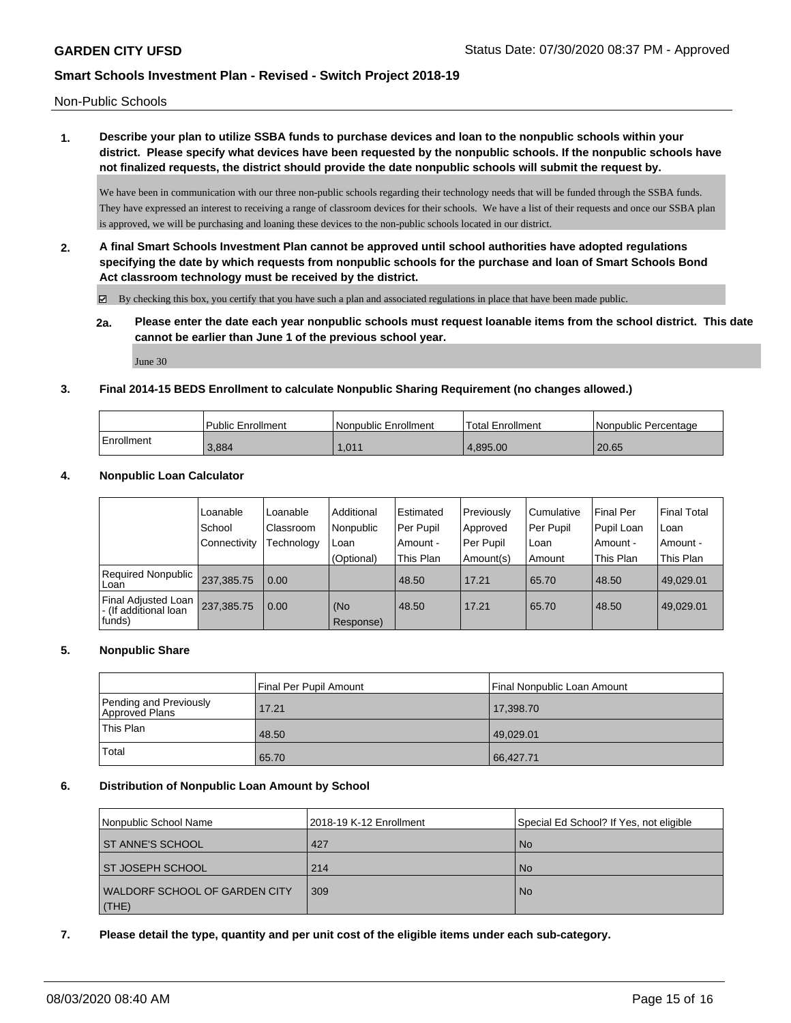Non-Public Schools

**1. Describe your plan to utilize SSBA funds to purchase devices and loan to the nonpublic schools within your district. Please specify what devices have been requested by the nonpublic schools. If the nonpublic schools have not finalized requests, the district should provide the date nonpublic schools will submit the request by.**

We have been in communication with our three non-public schools regarding their technology needs that will be funded through the SSBA funds. They have expressed an interest to receiving a range of classroom devices for their schools. We have a list of their requests and once our SSBA plan is approved, we will be purchasing and loaning these devices to the non-public schools located in our district.

**2. A final Smart Schools Investment Plan cannot be approved until school authorities have adopted regulations specifying the date by which requests from nonpublic schools for the purchase and loan of Smart Schools Bond Act classroom technology must be received by the district.**

By checking this box, you certify that you have such a plan and associated regulations in place that have been made public.

**2a. Please enter the date each year nonpublic schools must request loanable items from the school district. This date cannot be earlier than June 1 of the previous school year.**

June 30

### **3. Final 2014-15 BEDS Enrollment to calculate Nonpublic Sharing Requirement (no changes allowed.)**

|            | <b>Public Enrollment</b> | l Nonpublic Enrollment | <b>Total Enrollment</b> | I Nonpublic Percentage |
|------------|--------------------------|------------------------|-------------------------|------------------------|
| Enrollment | 3.884                    | 1.011                  | 4.895.00                | 20.65                  |

### **4. Nonpublic Loan Calculator**

|                                                        | Loanable       | Loanable   | Additional       | Estimated | Previously | Cumulative | <b>Final Per</b> | Final Total |
|--------------------------------------------------------|----------------|------------|------------------|-----------|------------|------------|------------------|-------------|
|                                                        | l School       | Classroom  | Nonpublic        | Per Pupil | Approved   | Per Pupil  | Pupil Loan       | l Loan      |
|                                                        | l Connectivity | Technology | Loan             | Amount -  | Per Pupil  | Loan       | Amount -         | l Amount -  |
|                                                        |                |            | (Optional)       | This Plan | Amount(s)  | Amount     | This Plan        | This Plan   |
| Required Nonpublic<br>Loan                             | 237.385.75     | 0.00       |                  | 48.50     | 17.21      | 65.70      | 48.50            | 49.029.01   |
| Final Adjusted Loan<br>- (If additional loan<br>funds) | 237,385.75     | 0.00       | (No<br>Response) | 48.50     | 17.21      | 65.70      | 48.50            | 49,029.01   |

### **5. Nonpublic Share**

|                                          | Final Per Pupil Amount | Final Nonpublic Loan Amount |
|------------------------------------------|------------------------|-----------------------------|
| Pending and Previously<br>Approved Plans | 17.21                  | 17,398.70                   |
| This Plan                                | 48.50                  | 49,029.01                   |
| Total                                    | 65.70                  | 66,427.71                   |

### **6. Distribution of Nonpublic Loan Amount by School**

| Nonpublic School Name         | 2018-19 K-12 Enrollment | Special Ed School? If Yes, not eligible |
|-------------------------------|-------------------------|-----------------------------------------|
| ST ANNE'S SCHOOL              | 427                     | <b>No</b>                               |
| ST JOSEPH SCHOOL              | 214                     | <b>No</b>                               |
| WALDORF SCHOOL OF GARDEN CITY | 309                     | <b>No</b>                               |
| (THE)                         |                         |                                         |

### **7. Please detail the type, quantity and per unit cost of the eligible items under each sub-category.**